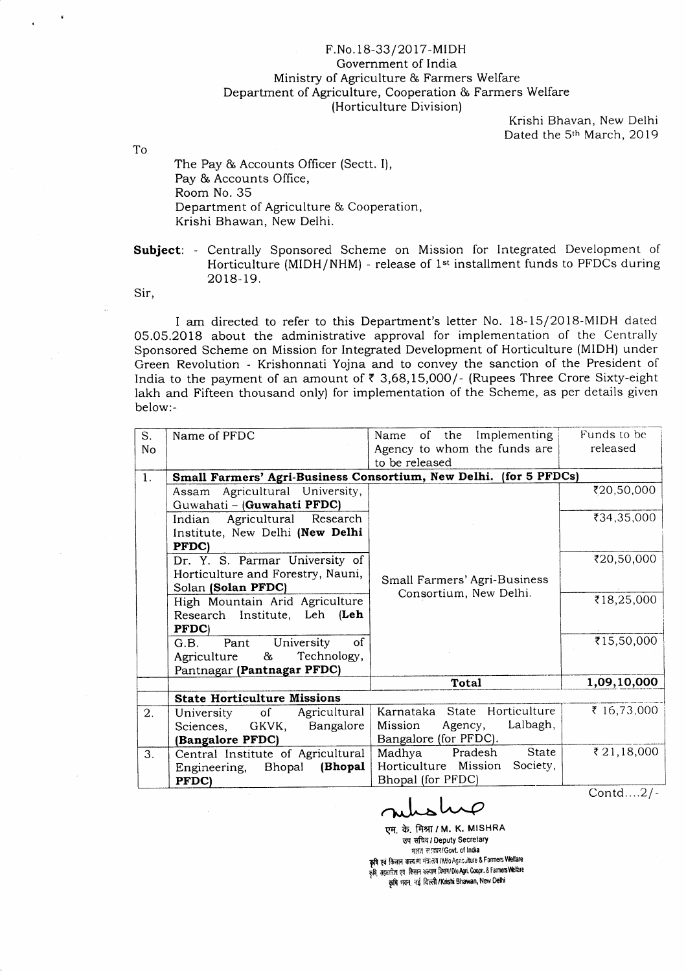## F.No. 18-33/2017-MIDH Govemment of India Ministry of Agriculture & Farmers Welfare Department of Agriculture, Cooperation & Farmers Welfare (Horticulture Division)

Krishi Bhavan, New Delhi Dated the 5<sup>th</sup> March, 2019

To

The Pay & Accounts Officer (Sectt. I), Pay & Accounts Office, Room No. 35 Department ol Agriculture & Cooperation, Krishi Bhawan, New Delhi.

Subject: - Centrally Sponsored Scheme on Mission for Integrated Development of Horticulture (MIDH/NHM) - release of 1<sup>st</sup> installment funds to PFDCs during 2018- 19.

Sir,

I am directed to refer to this Department's letter No. 18-15/2018-MIDH dated 05.05.2018 about the administrative approval for implementation of the Centrally Sponsored Scheme on Mission for lntegrated Development of Horticulture (MIDH) under Green Revolution - Krishonnati Yojna and to convey the sanction of the President of India to the payment of an amount of  $\bar{\tau}$  3,68,15,000/- (Rupees Three Crore Sixty-eight Iakh and Fifteen thousand only) for implementation of the Scheme, as per details given below:-

| S. | Name of PFDC                                                      | of the Implementing<br>Name      | Funds to be |  |  |  |
|----|-------------------------------------------------------------------|----------------------------------|-------------|--|--|--|
| No |                                                                   | Agency to whom the funds are     | released    |  |  |  |
|    |                                                                   | to be released                   |             |  |  |  |
| 1. | Small Farmers' Agri-Business Consortium, New Delhi. (for 5 PFDCs) |                                  |             |  |  |  |
|    | Assam Agricultural University,                                    |                                  | ₹20,50,000  |  |  |  |
|    | Guwahati - (Guwahati PFDC)                                        |                                  |             |  |  |  |
|    | Agricultural Research<br>Indian                                   |                                  | ₹34,35,000  |  |  |  |
|    | Institute, New Delhi (New Delhi                                   |                                  |             |  |  |  |
|    | PFDC)                                                             |                                  |             |  |  |  |
|    | Dr. Y. S. Parmar University of                                    |                                  | ₹20,50,000  |  |  |  |
|    | Horticulture and Forestry, Nauni,                                 | Small Farmers' Agri-Business     |             |  |  |  |
|    | Solan (Solan PFDC)                                                | Consortium, New Delhi.           |             |  |  |  |
|    | High Mountain Arid Agriculture                                    |                                  | ₹18,25,000  |  |  |  |
|    | Research Institute, Leh (Leh                                      |                                  |             |  |  |  |
|    | PFDC)                                                             |                                  |             |  |  |  |
|    | of<br>University<br>G.B.<br>Pant                                  |                                  | ₹15,50,000  |  |  |  |
|    | Technology,<br>&<br>Agriculture                                   |                                  |             |  |  |  |
|    | Pantnagar (Pantnagar PFDC)                                        |                                  |             |  |  |  |
|    |                                                                   | Total                            | 1,09,10,000 |  |  |  |
|    | <b>State Horticulture Missions</b>                                |                                  |             |  |  |  |
| 2. | Agricultural<br>$\circ$ f<br>University                           | Karnataka State Horticulture     | ₹ 16,73,000 |  |  |  |
|    | Bangalore<br>GKVK,<br>Sciences,                                   | Lalbagh,<br>Agency,<br>Mission   |             |  |  |  |
|    | (Bangalore PFDC)                                                  | Bangalore (for PFDC).            |             |  |  |  |
| 3. | Central Institute of Agricultural                                 | State<br>Madhya Pradesh          | ₹21,18,000  |  |  |  |
|    | (Bhopal)<br>Engineering,<br>Bhopal                                | Horticulture Mission<br>Society, |             |  |  |  |
|    | PFDC)                                                             | Bhopal (for PFDC)                |             |  |  |  |
|    |                                                                   |                                  | Contd2/-    |  |  |  |

एम. के. मिश्रा / M. K. MISHRA उप सचिव*।* Deputy Secretary **মা**না সাক্ষা/Govt. of India कृषि एवं किसान, कल्याण, भंत्रालय / NVo Agriculture & Farmers Welfare<br>aPartners Welfare tanging Barry Olo Anii Coope & Farmers Welfar ga सहकारिता एवं किसान कल्याण दिमांग/Dio Agri. Coopn. & Farmers Welfare<br>कृषि, सहकारिता एवं किसान कल्याण दिमांग/Dio Agri. Coopn. & Farmers Welfare कृषि भवन, नई दिल्ली /Krishi Bhawan, New Delhi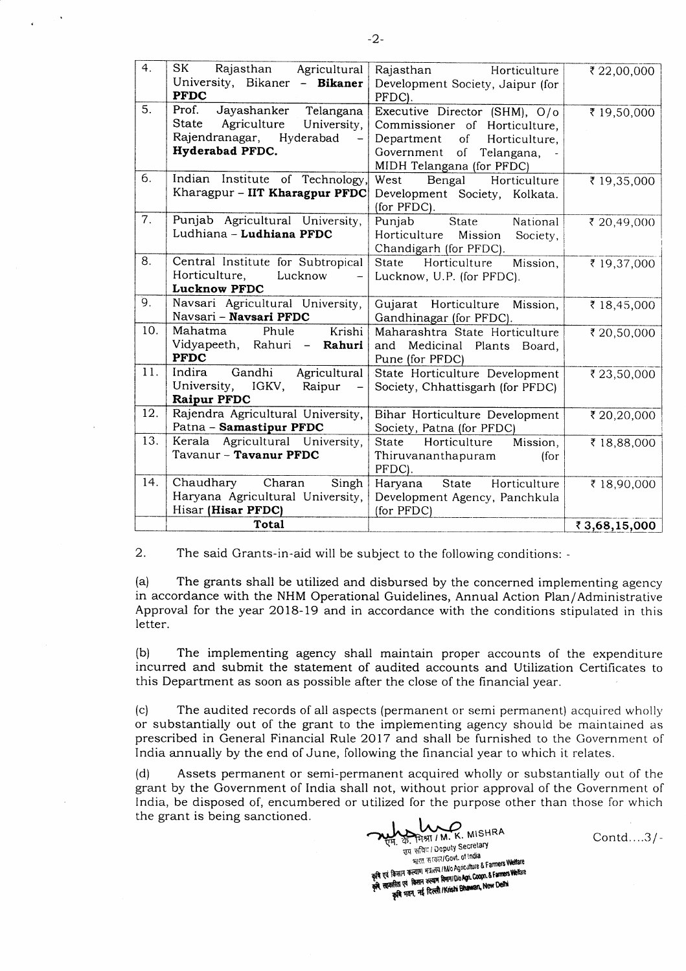| 4.  | SK<br>Rajasthan Agricultural<br>University, Bikaner - Bikaner<br><b>PFDC</b>                                            | Horticulture<br>Rajasthan<br>Development Society, Jaipur (for<br>PFDC).                                                                                         | ₹ 22,00,000  |
|-----|-------------------------------------------------------------------------------------------------------------------------|-----------------------------------------------------------------------------------------------------------------------------------------------------------------|--------------|
| 5.  | Prof.<br>Jayashanker<br>Telangana<br>Agriculture<br>State<br>University,<br>Rajendranagar, Hyderabad<br>Hyderabad PFDC. | Executive Director (SHM), O/o<br>Commissioner of Horticulture,<br>Department<br>of<br>Horticulture,<br>Government<br>of Telangana,<br>MIDH Telangana (for PFDC) | ₹ 19,50,000  |
| 6.  | Indian Institute of Technology<br>Kharagpur - IIT Kharagpur PFDC                                                        | West<br>Bengal Horticulture<br>Development Society, Kolkata.<br>(for PFDC).                                                                                     | ₹ 19,35,000  |
| 7.  | Punjab Agricultural University,<br>Ludhiana - Ludhiana PFDC                                                             | Punjab<br>State National<br>Horticulture<br>Mission<br>Society,<br>Chandigarh (for PFDC).                                                                       | ₹ 20,49,000  |
| 8.  | Central Institute for Subtropical<br>Horticulture,<br>Lucknow<br>÷,<br><b>Lucknow PFDC</b>                              | Horticulture<br>Mission,<br>State<br>Lucknow, U.P. (for PFDC).                                                                                                  | ₹ 19,37,000  |
| 9.  | Navsari Agricultural University,<br>Navsari - Navsari PFDC                                                              | Gujarat Horticulture Mission,<br>Gandhinagar (for PFDC).                                                                                                        | ₹18,45,000   |
| 10. | Krishi<br>Mahatma<br>Phule<br>Vidyapeeth, Rahuri - Rahuri<br><b>PFDC</b>                                                | Maharashtra State Horticulture<br>and<br>Medicinal Plants Board,<br>Pune (for PFDC)                                                                             | ₹ 20,50,000  |
| 11. | Gandhi Agricultural<br>Indira<br>University, IGKV,<br>Raipur<br><b>Raipur PFDC</b>                                      | State Horticulture Development<br>Society, Chhattisgarh (for PFDC)                                                                                              | ₹ 23,50,000  |
| 12. | Rajendra Agricultural University,<br>Patna - Samastipur PFDC                                                            | Bihar Horticulture Development<br>Society, Patna (for PFDC)                                                                                                     | ₹ 20,20,000  |
| 13. | Kerala Agricultural University,<br>Tavanur - Tavanur PFDC                                                               | Horticulture<br>Mission,<br><b>State</b><br>Thiruvananthapuram<br>(for<br>PFDC).                                                                                | ₹18,88,000   |
| 14. | Chaudhary Charan<br>Singh<br>Haryana Agricultural University,<br>Hisar (Hisar PFDC)                                     | State Horticulture<br>Haryana<br>Development Agency, Panchkula<br>(for PFDC)                                                                                    | ₹18,90,000   |
|     | Total                                                                                                                   |                                                                                                                                                                 | ₹3,68,15,000 |

2. The said Grants-in-aid will be subject to the following conditions: -

(a) The grants shall be utilized and disbursed by the concerned implementing agency in accordance with the NHM Operational Guidelines, Annual Action Plan/Administrative Approval for the year 2018-19 and in accordance with the conditions stipulated in rhis letter.

(b) The implementing agency shall maintain proper accounts of the expenditure incurred and submit the statement of audited accounts and Utilization Certificates to this Department as soon as possible after the close of the financial year.

(c) The audited records of all aspects (permanent or semi permanent) acquired wholly or substantially out of the grant to the implementing agency should be maintained as prescribed in General Financial Rule 2017 and shall be furnished to the Government of India annually by the end of June, following the financial year to which it relates.

(d) Assets permanent or semi-permanent acquired wholly or substantially out of the grant by the Government of India shall not, without prior approval of the Government of lndia, be disposed of, encumbered or utilized for the purpose other than those for which the grant is being sanctioned.

REAL MISHRA Contd....3/-<br>
THE ST. THEIR I Deputy Secretary<br>
THEIR CONTD....3/-नारत सरकार/Govt. of India<br>मारत सरकार/Govt. of India कृषि एवं किसान कल्याण भन्नातय / Mo Agriculture & Farmers Welfare per second of Textile Research State of Cooper & Farmers Welfare INAILLE CREATE कल्याण विमान/Dio Agri. Coopn. & ranners<br>क्रसिता एवं किसान कल्याण विमान/Dio Agri. Coopn. & ranners<br>कृषि भवन, नई दिल्ली /Krishi Bhawan, New Delhi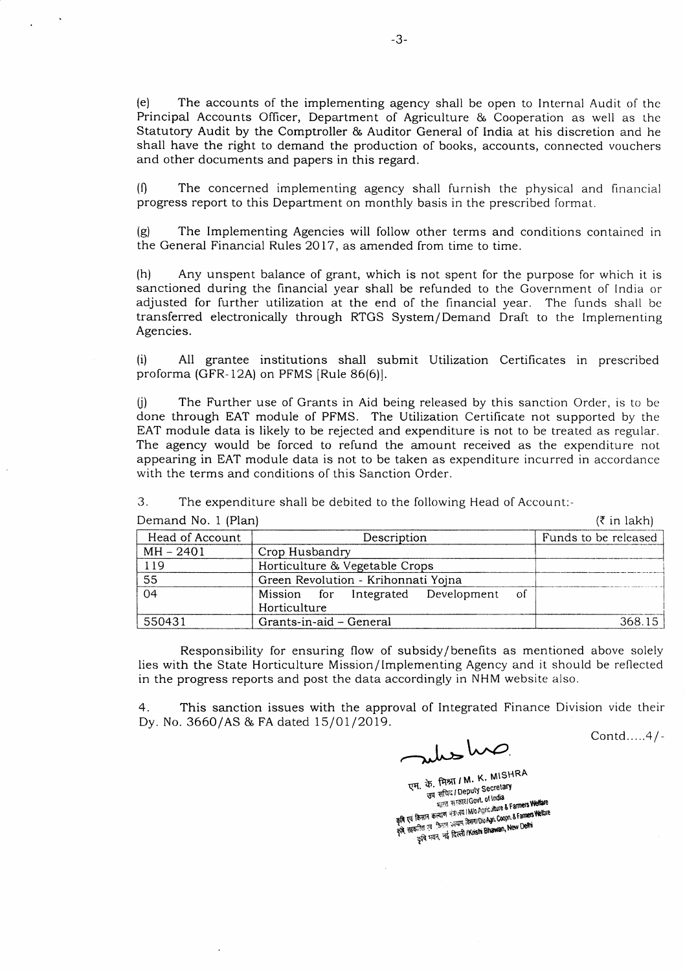(e) The accounts of the implementing agency shall be open to Internal Audit of the Principal Accounts Oflicer, Department of Agriculture & Cooperation as well as the Statutory Audit by the Comptroller & Auditor General of lndia at his discretion and he shall have the right to demand the production of books, accounts, connected vouchers and other documents and papers in this regard.

 $(1)$  The concerned implementing agency shall furnish the physical and financial progress report to this Department on monthly basis in the prescribed format.

(g) The Implementing Agencies will follow other terms and conditions contained in the General Financial Rules 2017, as amended from time to time.

(h) Any unspent balance of grant, which is not spent for the purpose for which it is sanctioned during the financial year shall be refunded to the Government of India or adjusted for further utilization at the end of the financial year. The lunds shall bc transferred electronically through RTGS System/ Demand Draft to the lmplementing Agencies.

(i) All grantee institutions shall submit Utilization Certificates in prescribed proforma (GFR-12A) on PFMS [Rule 86(6)].

 $(i)$  The Further use of Grants in Aid being released by this sanction Order, is to be done through EAT module of PFMS. The Utilization Certificate not supported by the EAT module data is likely to be rejected and expenditure is not to be treated as regular. The agency would be forced to refund the amount received as the expenditure not appearing in EAT module data is not to be taken as expenditure incurred in accordance with the terms and conditions of this Sanction Order.

3. The expenditure shall be debited to the following Head of Account:-

| Demand No. 1 (Plan) | $(5$ in lakh)                             |                      |
|---------------------|-------------------------------------------|----------------------|
| Head of Account     | Description                               | Funds to be released |
| $MH - 2401$         | Crop Husbandry                            |                      |
| 119                 | Horticulture & Vegetable Crops            |                      |
| 55                  | Green Revolution - Krihonnati Yojna       |                      |
| 04                  | Mission for Integrated Development<br>-of |                      |
|                     | Horticulture                              |                      |
| 550431              | Grants-in-aid - General                   | 368.15               |

Responsibility for ensuring flow of subsidy/ benefits as mentioned above solely lies with the State Horticulture Mission/Implementing Agency and it should be reflected in the progress reports and post the data accordingly in NHM website also.

4. This sanction issues with the approval of Integrated Finance Division vide their Dy. No. 3660/AS & FA dated 15/01/2019.

July has

एम. के. मिश्रा / M. K. MISHRA<br>उप सचिय / Deputy Secretary<br>उप सचिय / Deputy Secretary<br>कृषि एवं किसान कल्याण मंत्र:तया INO Agriculture & Farmers Welfare<br>कृषि सहकारित एवं किसान कल्याण सिमा/Dio Agri. Coopn. & Farmers Welfare<br>क

Contd.....4/-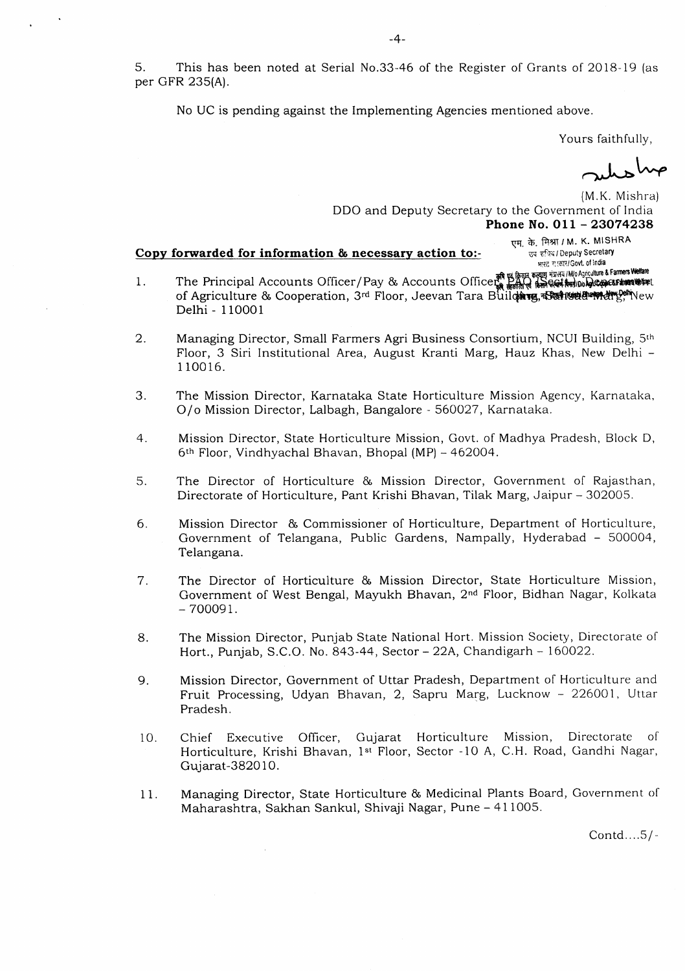5. This has been noted at Serial No.33-46 of the Register of Grants of 2018-19 (as per GFR 235(A).

No UC is pending against the Implementing Agencies mentioned above.

Yours faithfully,

एम. के. मिश्रा / M. K. MISHRA

उप सचिव / Deputy Secretary भारत साकार/Govt. of India

method

(M.K. Mishra) DDO and Deputy Secretary to the Government of India Phone No. 011 - 23074238

## Copy forwarded for information & necessary action to:-

- The Principal Accounts Officer/Pay & Accounts Office of Espan sounds and Have A Fammers Wellare  $\mathbf{1}$ . of Agriculture & Cooperation, 3rd Floor, Jeevan Tara Buildary, Baristin Barnetty Pelivew Delhi - 110001
- Managing Director, Small Farmers Agri Business Consortium, NCUI Building, 5th 2. Floor, 3 Siri Institutional Area, August Kranti Marg, Hauz Khas, New Delhi -110016.
- 3. The Mission Director, Karnataka State Horticulture Mission Agency, Karnataka, O/o Mission Director, Lalbagh, Bangalore - 560027, Karnataka.
- $4.$ Mission Director, State Horticulture Mission, Govt. of Madhya Pradesh, Block D, 6th Floor, Vindhyachal Bhavan, Bhopal (MP) - 462004.
- The Director of Horticulture & Mission Director, Government of Rajasthan, 5. Directorate of Horticulture, Pant Krishi Bhavan, Tilak Marg, Jaipur - 302005.
- 6. Mission Director & Commissioner of Horticulture, Department of Horticulture, Government of Telangana, Public Gardens, Nampally, Hyderabad - 500004, Telangana.
- The Director of Horticulture & Mission Director, State Horticulture Mission, 7. Government of West Bengal, Mayukh Bhavan, 2<sup>nd</sup> Floor, Bidhan Nagar, Kolkata  $-700091.$
- The Mission Director, Punjab State National Hort. Mission Society, Directorate of 8. Hort., Punjab, S.C.O. No. 843-44, Sector - 22A, Chandigarh - 160022.
- 9. Mission Director, Government of Uttar Pradesh, Department of Horticulture and Fruit Processing, Udyan Bhavan, 2, Sapru Marg, Lucknow - 226001, Uttar Pradesh.
- Directorate  $\circ$ f Chief Executive Officer, Gujarat Horticulture Mission, 10. Horticulture, Krishi Bhavan, 1st Floor, Sector -10 A, C.H. Road, Gandhi Nagar, Gujarat-382010.
- Managing Director, State Horticulture & Medicinal Plants Board, Government of  $11.$ Maharashtra, Sakhan Sankul, Shivaji Nagar, Pune - 411005.

Contd....5/-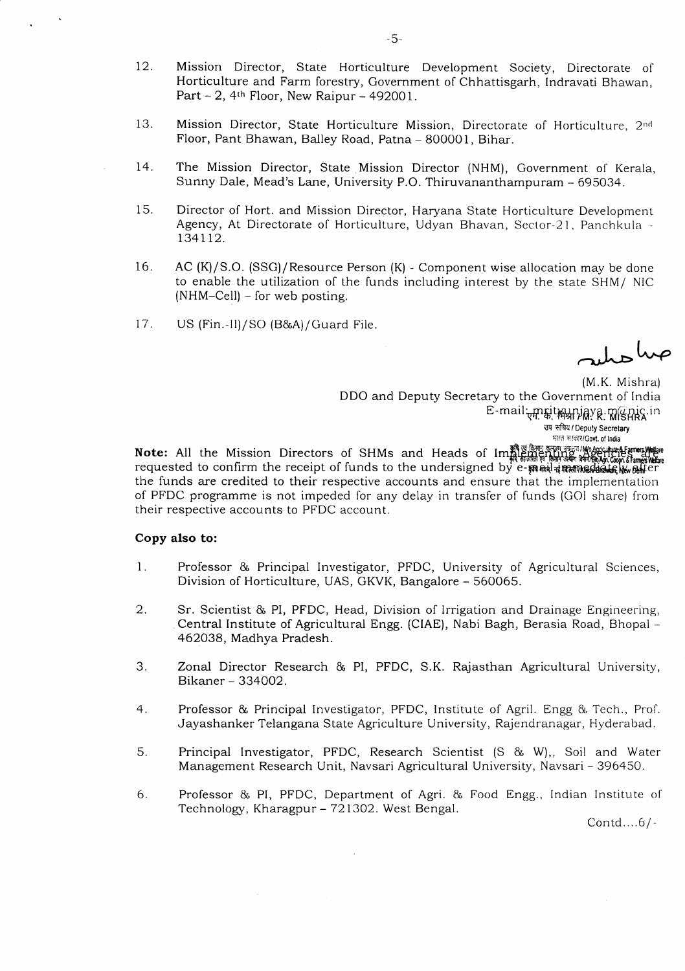- 12. Mission Director, State Horticulture Development Society, Directorate ol Horticulture and Farm forestry, Govemment of Chhattisgarh, Indravati Bhawan, Part  $-2$ , 4<sup>th</sup> Floor, New Raipur  $-492001$ .
- 13. Mission Director, State Horticulture Mission, Directorate of Horticulture, 2nd Floor, Pant Bhawan, Balley Road, Patna - 800001, Bihar.
- The Mission Director, State Mission Director (NHM), Government of Kerala, Sunny Dale, Mead's Lane, University P.O. Thiruvananthampuram - 695034. t4.
- Director of Hort. and Mission Director, Haryana State Horticulture Development Agency, At Directorate of Horticulture, Udyan Bhavan, Sector-21, Panchkula -134 1 12. 15.
- AC (K)/S.O. (SSG)/Resource Person (K) Component wise allocation may be done to enable the utilization of the funds including interest by the state SHM/ NIC  $(NHM-Cell)$  – for web posting. 16.
- 17. US (Fin.-ll)/SO (B&A)/Guard File.

auto ha

(M.K. Mishra) DDO and Deputy Secretary to the Government of India E-mail <sub>ए</sub>मार्क्स क्षेत्रागृहि प्राप्ति प्राप्ति in उप सचिय / Deputy Secretary मारत सरकार/Govt. of India

Note: All the Mission Directors of SHMs and Heads of requested to confirm the receipt of funds to the undersigned by  $\mathrm{e}^{\hspace{0.5pt}\cdot\hspace{0.5pt}}$ the funds are credited to their respective accounts and ensure that the implementation of PFDC programme is not impeded for any delay in transler of lunds {GOI share) from their respective accounts to PFDC account.

## Copy also to:

- Professor & Principal Investigator, PFDC, University of Agricultural Sciences, Division of Horticulture, UAS, GKVK, Bangalore - 560065. 1
- Sr. Scientist & Pl, PFDC, Head, Division of lrrigation and Drainage Engineering, Central Institute of Agricultural Engg. (CIAE), Nabi Bagh, Berasia Road, Bhopal - 462034, Madhya Pradesh. 2
- Zonal Director Research & PI, PFDC, S.K. Rajasthan Agricultural University, Bikaner - 334002. .)
- Professor & Principal Investigator, PFDC, Institute of Agril. Engg & Tech., Prof. Jayashanker Telangana State Agriculture University, Rajendranagar, Hyderabad. 4
- Principal Investigator, PFDC, Research Scientist (S & W),, Soil and Water Management Research Unit, Navsari Agricultural University, Navsari - 396450. 5
- Professor & PI, PFDC, Department of Agri. & Food Engg., Indian Institute of Technology, Kharagpur – 721302. West Bengal. 6

Contd....6/-